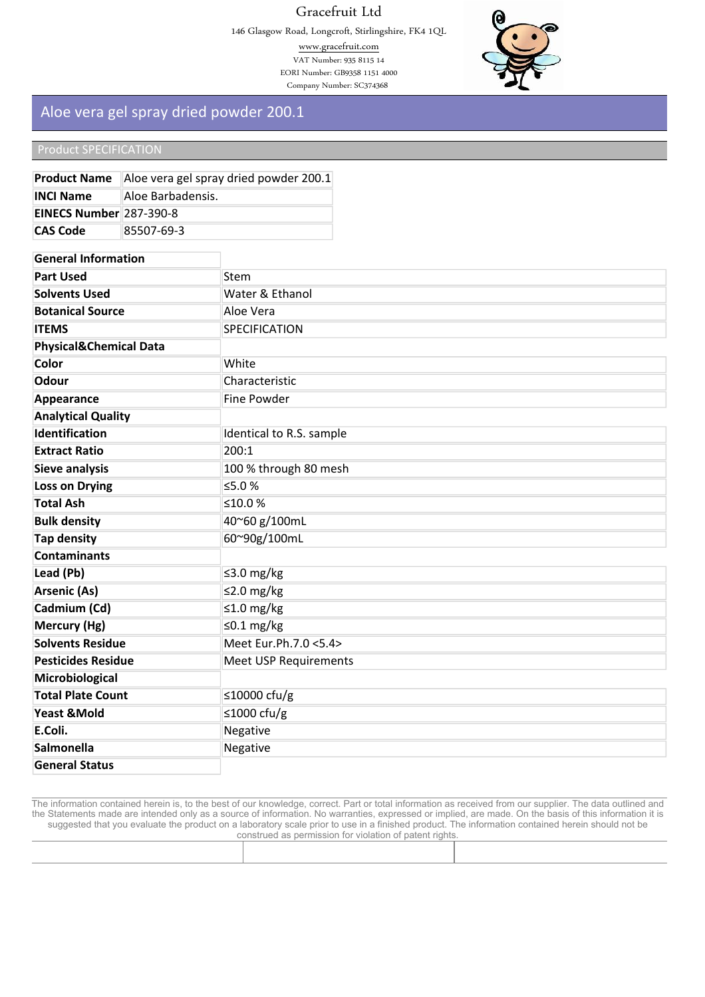# Gracefruit Ltd

146 Glasgow Road, Longcroft, Stirlingshire, FK4 1QL

www.gracefruit.com VAT Number: 935 8115 14 EORI Number: GB9358 1151 4000 Company Number: SC374368



# **Aloe vera gel spray dried powder 200.1**

**Product Name Aloe vera gel spray dried powder 200.1**

#### **Product SPECIFICATION**

**INCI Name Aloe** Barbadensis**.**

| EINECS Number 287-390-8           |            |                              |
|-----------------------------------|------------|------------------------------|
| <b>CAS Code</b>                   | 85507-69-3 |                              |
|                                   |            |                              |
| <b>General Information</b>        |            |                              |
| <b>Part Used</b>                  |            | <b>Stem</b>                  |
| <b>Solvents Used</b>              |            | Water & Ethanol              |
| <b>Botanical Source</b>           |            | Aloe Vera                    |
| <b>ITEMS</b>                      |            | <b>SPECIFICATION</b>         |
| <b>Physical&amp;Chemical Data</b> |            |                              |
| <b>Color</b>                      |            | White                        |
| <b>Odour</b>                      |            | Characteristic               |
| Appearance                        |            | Fine Powder                  |
| <b>Analytical Quality</b>         |            |                              |
| <b>Identification</b>             |            | Identical to R.S. sample     |
| <b>Extract Ratio</b>              |            | 200:1                        |
| <b>Sieve analysis</b>             |            | 100 % through 80 mesh        |
| <b>Loss on Drying</b>             |            | ≤5.0 %                       |
| <b>Total Ash</b>                  |            | ≤10.0%                       |
| <b>Bulk density</b>               |            | 40~60 g/100mL                |
| <b>Tap density</b>                |            | 60~90g/100mL                 |
| <b>Contaminants</b>               |            |                              |
| Lead (Pb)                         |            | ≤3.0 mg/kg                   |
| <b>Arsenic (As)</b>               |            | ≤2.0 mg/kg                   |
| Cadmium (Cd)                      |            | ≤1.0 mg/kg                   |
| Mercury (Hg)                      |            | ≤0.1 mg/kg                   |
| <b>Solvents Residue</b>           |            | Meet Eur.Ph.7.0 <5.4>        |
| <b>Pesticides Residue</b>         |            | <b>Meet USP Requirements</b> |
| Microbiological                   |            |                              |
| <b>Total Plate Count</b>          |            | ≤10000 cfu/g                 |
| <b>Yeast &amp;Mold</b>            |            | ≤1000 cfu/g                  |
| E.Coli.                           |            | Negative                     |
| <b>Salmonella</b>                 |            | Negative                     |
| <b>General Status</b>             |            |                              |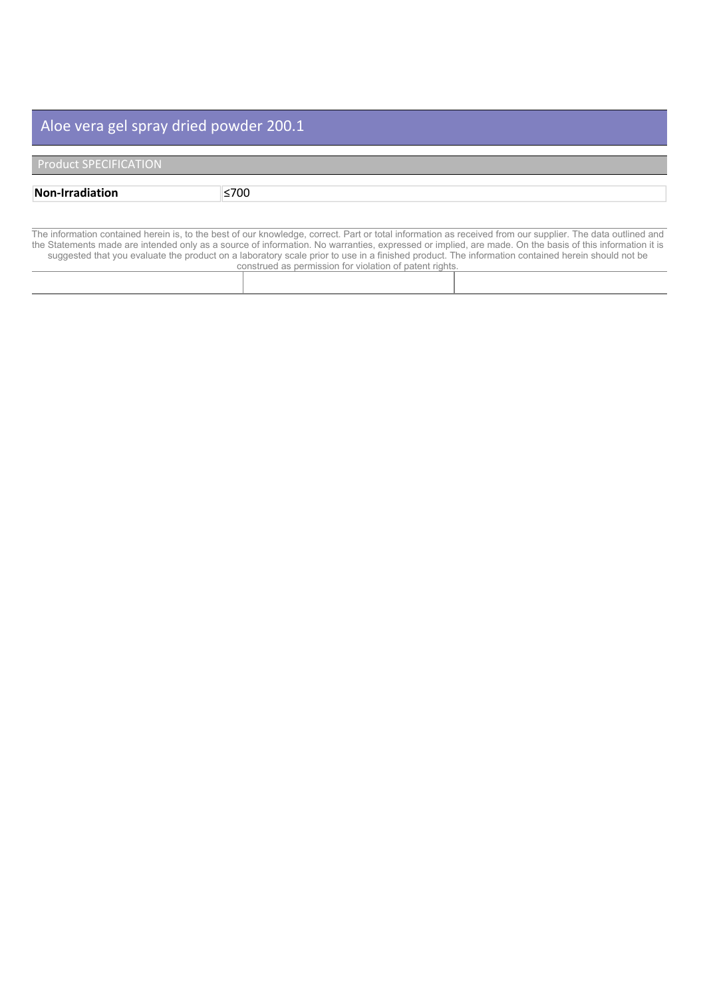| <b>Product SPECIFICATION</b> |  |  |
|------------------------------|--|--|
|                              |  |  |

| Non-Irra | –700∠ |
|----------|-------|

| CONSUMED AS DENNISSION TOP VIOLATION OF DATENT HUNTS. |
|-------------------------------------------------------|
|                                                       |
|                                                       |
|                                                       |
|                                                       |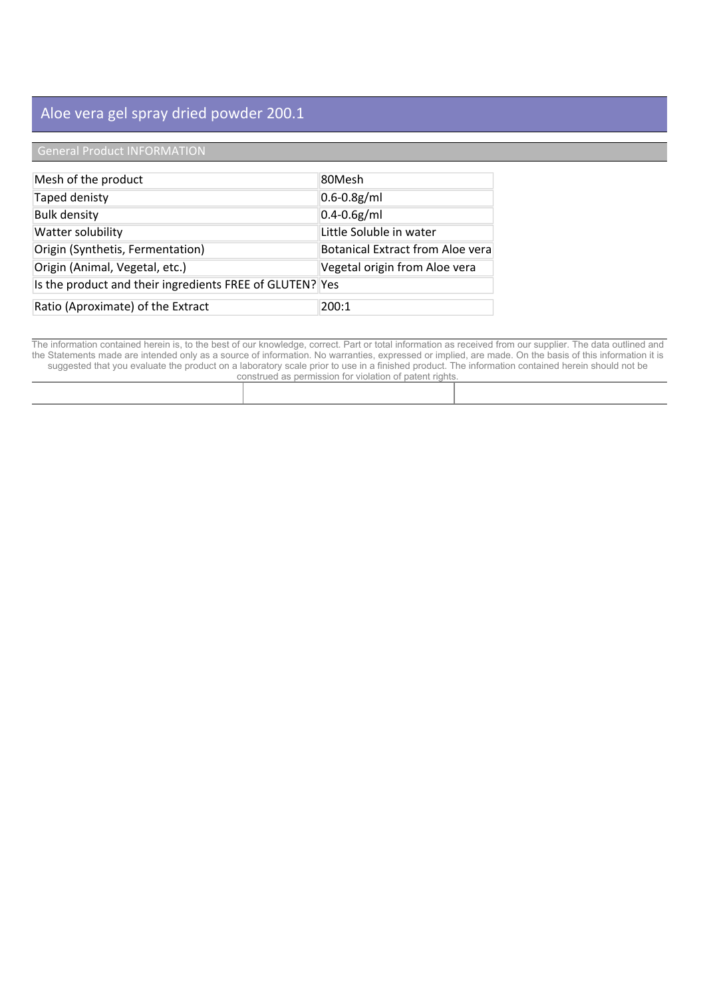# **General Product INFORMATION**

| Mesh of the product                                      | 80Mesh                                  |
|----------------------------------------------------------|-----------------------------------------|
| Taped denisty                                            | $0.6 - 0.8$ g/ml                        |
| <b>Bulk density</b>                                      | $0.4 - 0.6g/ml$                         |
| Watter solubility                                        | Little Soluble in water                 |
| Origin (Synthetis, Fermentation)                         | <b>Botanical Extract from Aloe vera</b> |
| Origin (Animal, Vegetal, etc.)                           | Vegetal origin from Aloe vera           |
| Is the product and their ingredients FREE of GLUTEN? Yes |                                         |
| Ratio (Aproximate) of the Extract                        | 200:1                                   |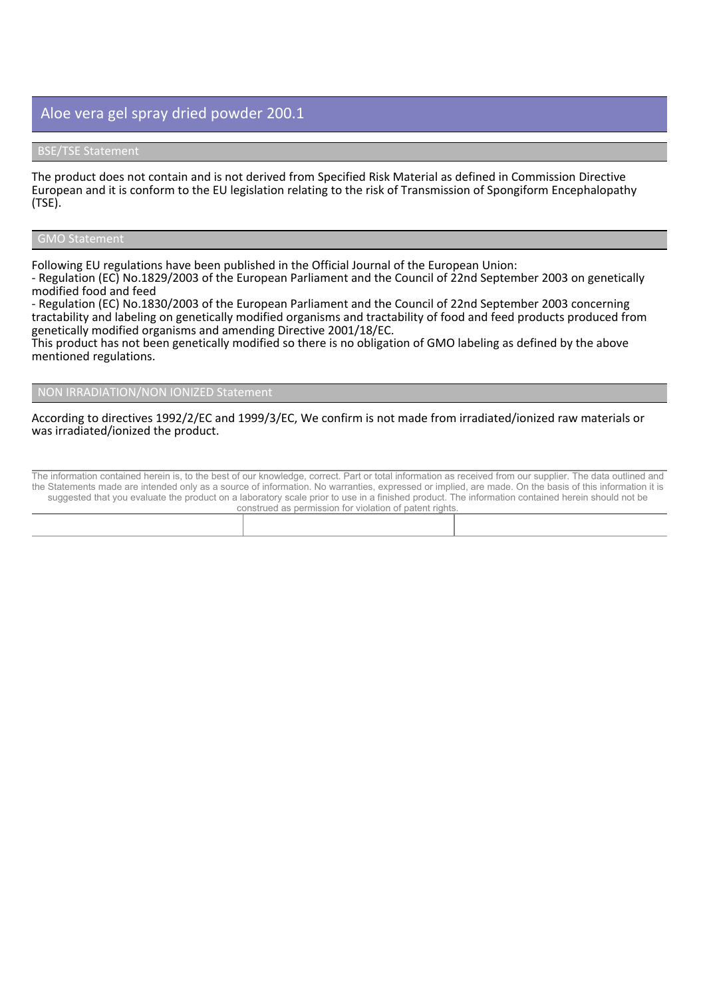The product does not contain and is not derived from Specified Risk Material as defined in Commission Directive European and it is conform to the EU legislation relating to the risk of Transmission of Spongiform Encephalopathy **(TSE).**

#### **GMO Statement**

**Following EU regulations have been published in the Official Journal of the European Union:**

- Regulation (EC) No.1829/2003 of the European Parliament and the Council of 22nd September 2003 on genetically **modified food and feed**

**- Regulation (EC) No.1830/2003 of the European Parliament and the Council of 22nd September 2003 concerning** tractability and labeling on genetically modified organisms and tractability of food and feed products produced from **genetically modified organisms and amending Directive 2001/18/EC.**

This product has not been genetically modified so there is no obligation of GMO labeling as defined by the above **mentioned regulations.**

#### **NON IRRADIATION/NON IONIZED Statement**

#### **According to directives 1992/2/EC and 1999/3/EC, We confirm is not made from irradiated/ionized raw materials or was irradiated/ionized the product.**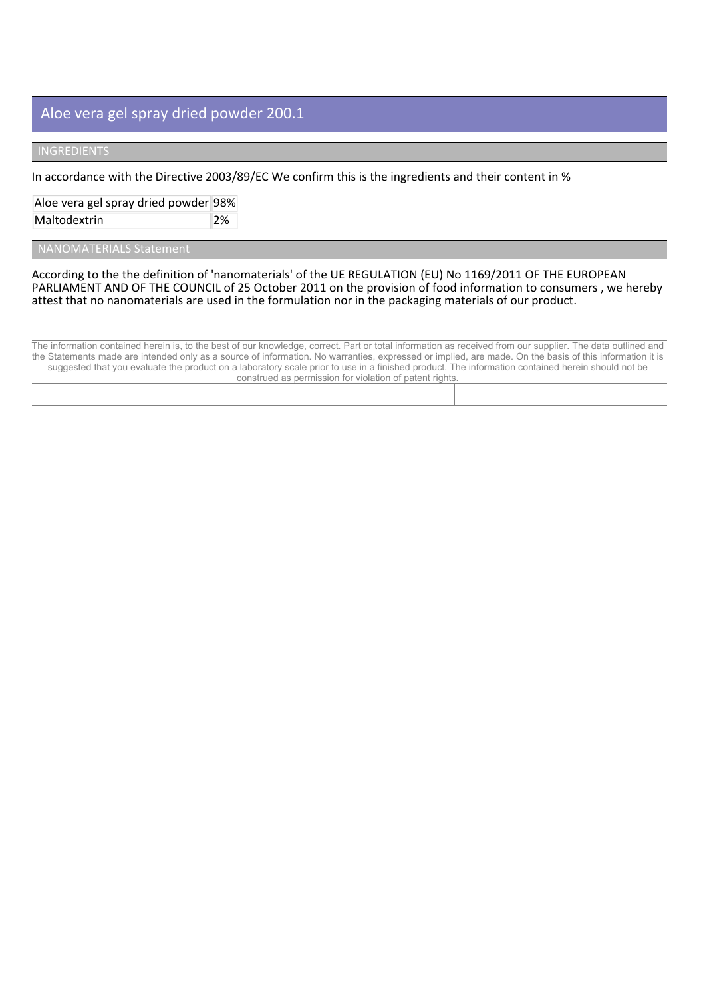## **INGREDIENTS**

**In accordance with the Directive 2003/89/EC We confirm this is the ingredients and their content in %**

**Aloe vera gel spray dried powder 98%**

**Maltodextrin 2%**

 **NANOMATERIALS Statement**

**According to the the definition of 'nanomaterials' of the UE REGULATION (EU) No 1169/2011 OF THE EUROPEAN** PARLIAMENT AND OF THE COUNCIL of 25 October 2011 on the provision of food information to consumers, we hereby **attest that no nanomaterials are used in the formulation nor in the packaging materials of our product.**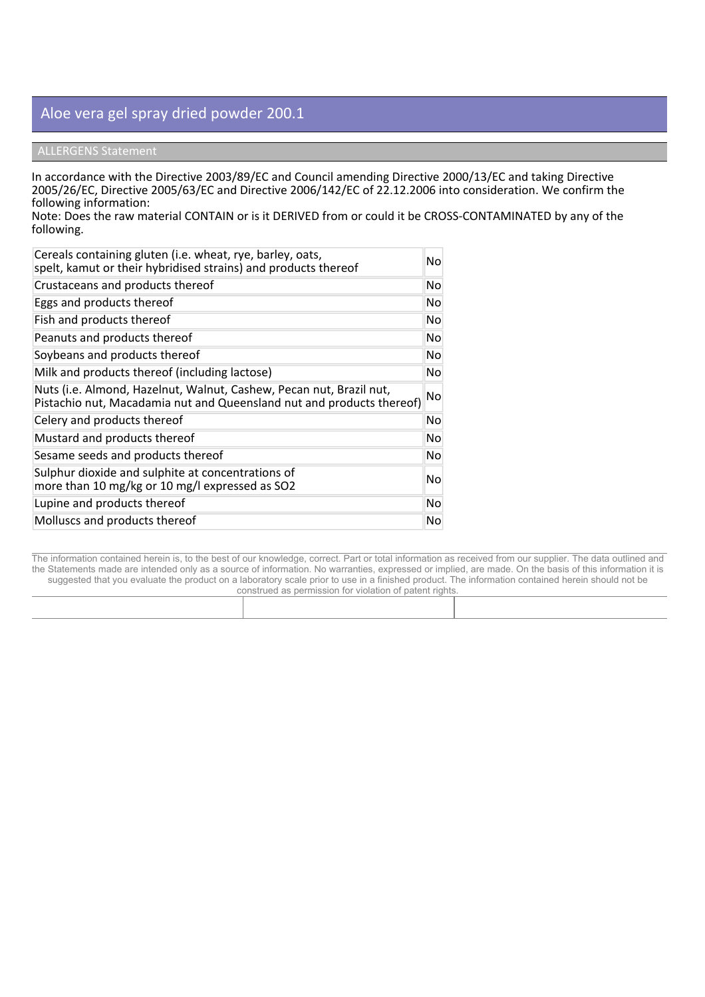### **ALLERGENS Statement**

**In accordance with the Directive 2003/89/EC and Council amending Directive 2000/13/EC and taking Directive 2005/26/EC, Directive 2005/63/EC and Directive 2006/142/EC of 22.12.2006 into consideration. We confirm the following information:**

Note: Does the raw material CONTAIN or is it DERIVED from or could it be CROSS-CONTAMINATED by any of the **following.**

| Cereals containing gluten (i.e. wheat, rye, barley, oats,<br>spelt, kamut or their hybridised strains) and products thereof                  | No.       |
|----------------------------------------------------------------------------------------------------------------------------------------------|-----------|
| Crustaceans and products thereof                                                                                                             | No.       |
| Eggs and products thereof                                                                                                                    | No.       |
| Fish and products thereof                                                                                                                    | No        |
| Peanuts and products thereof                                                                                                                 | No.       |
| Soybeans and products thereof                                                                                                                | No        |
| Milk and products thereof (including lactose)                                                                                                | No        |
| Nuts (i.e. Almond, Hazelnut, Walnut, Cashew, Pecan nut, Brazil nut,<br>Pistachio nut, Macadamia nut and Queensland nut and products thereof) | <b>No</b> |
| Celery and products thereof                                                                                                                  | No.       |
| Mustard and products thereof                                                                                                                 | No.       |
| Sesame seeds and products thereof                                                                                                            | No.       |
| Sulphur dioxide and sulphite at concentrations of<br>more than 10 mg/kg or 10 mg/l expressed as SO2                                          | No.       |
| Lupine and products thereof                                                                                                                  | <b>No</b> |
| Molluscs and products thereof                                                                                                                | No.       |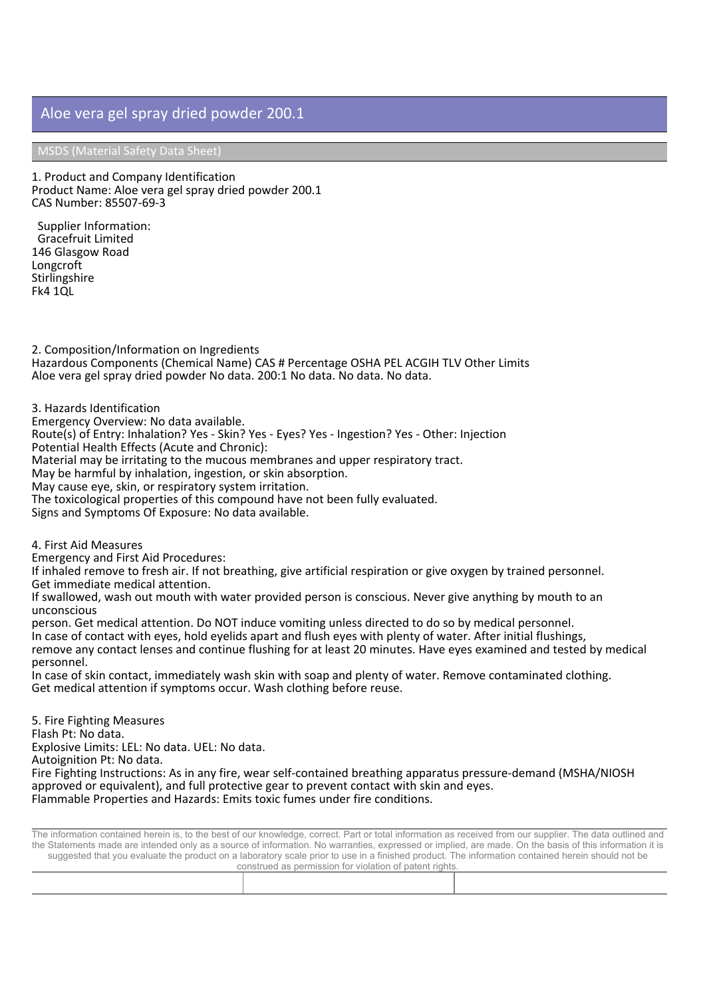**MSDS (Material Safety Data Sheet)**

**1. Product and Company Identification Product Name: Aloe vera gel spray dried powder 200.1 CAS Number: 85507-69-3**

 **Supplier Information:** Gracefruit Limited 146 Glasgow Road Longcroft **Stirlingshire** Fk4 1QL

**2. Composition/Information on Ingredients Hazardous Components (Chemical Name) CAS # Percentage OSHA PEL ACGIH TLV Other Limits Aloe vera gel spray dried powder No data. 200:1 No data. No data. No data.**

**3. Hazards Identification**

**Emergency Overview: No data available.**

**Route(s) of Entry: Inhalation? Yes - Skin? Yes - Eyes? Yes - Ingestion? Yes - Other: Injection**

**Potential Health Effects (Acute and Chronic):**

**Material may be irritating to the mucous membranes and upper respiratory tract.**

**May be harmful by inhalation, ingestion, or skin absorption.**

**May cause eye, skin, or respiratory system irritation.**

**The toxicological properties of this compound have not been fully evaluated.**

**Signs and Symptoms Of Exposure: No data available.**

**4. First Aid Measures**

**Emergency and First Aid Procedures:**

If inhaled remove to fresh air. If not breathing, give artificial respiration or give oxygen by trained personnel. **Get immediate medical attention.**

If swallowed, wash out mouth with water provided person is conscious. Never give anything by mouth to an **unconscious**

**person. Get medical attention. Do NOT induce vomiting unless directed to do so by medical personnel.** In case of contact with eyes, hold eyelids apart and flush eyes with plenty of water. After initial flushings, remove any contact lenses and continue flushing for at least 20 minutes. Have eyes examined and tested by medical

**personnel.** In case of skin contact, immediately wash skin with soap and plenty of water. Remove contaminated clothing. **Get medical attention if symptoms occur. Wash clothing before reuse.**

**5. Fire Fighting Measures Flash Pt: No data. Explosive Limits: LEL: No data. UEL: No data. Autoignition Pt: No data. Fire Fighting Instructions: As in any fire, wear self-contained breathing apparatus pressure-demand (MSHA/NIOSH approved or equivalent), and full protective gear to prevent contact with skin and eyes. Flammable Properties and Hazards: Emits toxic fumes under fire conditions.**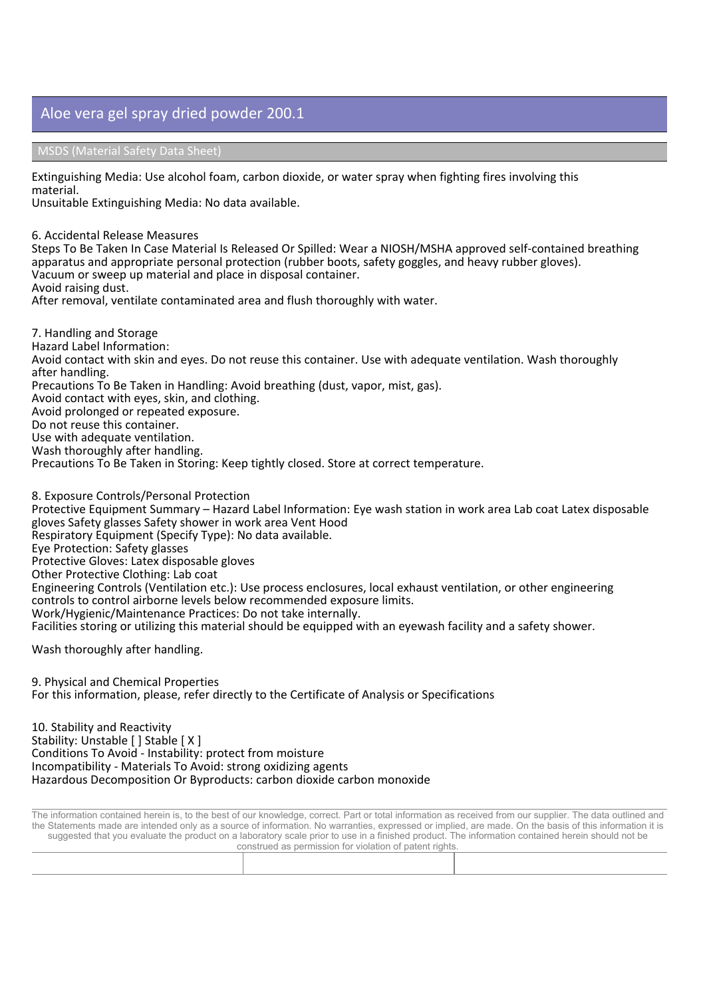**MSDS (Material Safety Data Sheet)**

**Extinguishing Media: Use alcohol foam, carbon dioxide, or water spray when fighting fires involving this material.**

**Unsuitable Extinguishing Media: No data available.**

**6. Accidental Release Measures**

Steps To Be Taken In Case Material Is Released Or Spilled: Wear a NIOSH/MSHA approved self-contained breathing **apparatus and appropriate personal protection (rubber boots, safety goggles, and heavy rubber gloves). Vacuum or sweep up material and place in disposal container.**

**Avoid raising dust.**

**After removal, ventilate contaminated area and flush thoroughly with water.**

**7. Handling and Storage Hazard Label Information:** Avoid contact with skin and eyes. Do not reuse this container. Use with adequate ventilation. Wash thoroughly **after handling. Precautions To Be Taken in Handling: Avoid breathing (dust, vapor, mist, gas). Avoid contact with eyes, skin, and clothing. Avoid prolonged or repeated exposure. Do not reuse this container. Use with adequate ventilation. Wash thoroughly after handling. Precautions To Be Taken in Storing: Keep tightly closed. Store at correct temperature.**

**8. Exposure Controls/Personal Protection** Protective Equipment Summary - Hazard Label Information: Eye wash station in work area Lab coat Latex disposable **gloves Safety glasses Safety shower in work area Vent Hood Respiratory Equipment (Specify Type): No data available. Eye Protection: Safety glasses Protective Gloves: Latex disposable gloves Other Protective Clothing: Lab coat Engineering Controls (Ventilation etc.): Use process enclosures, local exhaust ventilation, or other engineering controls to control airborne levels below recommended exposure limits. Work/Hygienic/Maintenance Practices: Do not take internally.** Facilities storing or utilizing this material should be equipped with an eyewash facility and a safety shower.

**Wash thoroughly after handling.**

**9. Physical and Chemical Properties For this information, please, refer directly to the Certificate of Analysis or Specifications**

**10. Stability and Reactivity Stability: Unstable [ ] Stable [ X ] Conditions To Avoid - Instability: protect from moisture Incompatibility - Materials To Avoid: strong oxidizing agents Hazardous Decomposition Or Byproducts: carbon dioxide carbon monoxide**